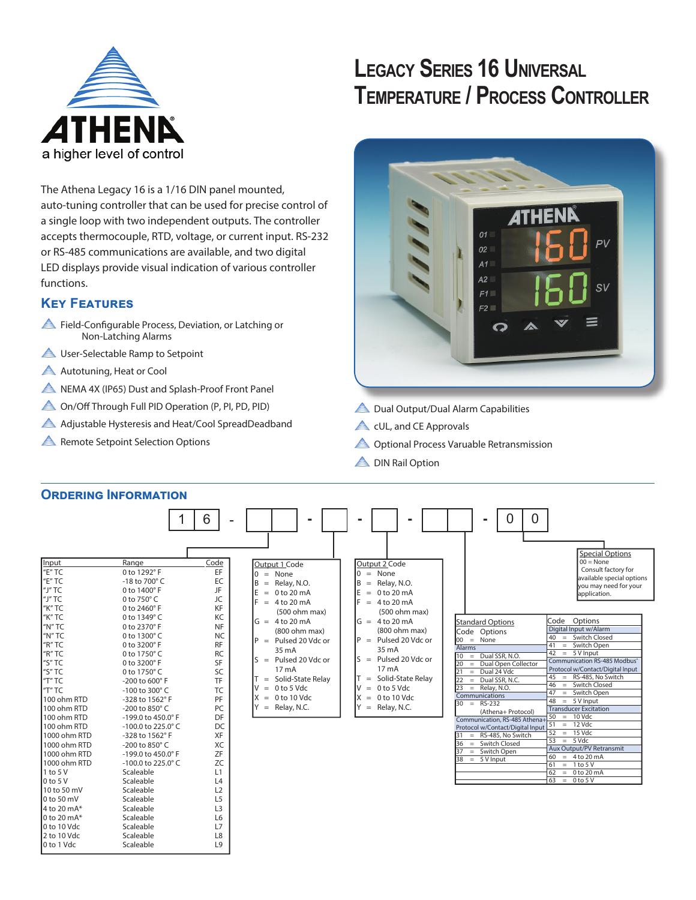

# **LEGACY SERIES 16 UNIVERSAL TEMPERATURE / PROCESS CONTROLLER**



The Athena Legacy 16 is a 1/16 DIN panel mounted, auto-tuning controller that can be used for precise control of a single loop with two independent outputs. The controller accepts thermocouple, RTD, voltage, or current input. RS-232 or RS-485 communications are available, and two digital LED displays provide visual indication of various controller functions.

### **Key Features**

- Field-Configurable Process, Deviation, or Latching or Non-Latching Alarms
- **A** User-Selectable Ramp to Setpoint
- Autotuning, Heat or Cool
- A NEMA 4X (IP65) Dust and Splash-Proof Front Panel
- On/Off Through Full PID Operation (P, PI, PD, PID)
- Adjustable Hysteresis and Heat/Cool SpreadDeadband
- **A** Remote Setpoint Selection Options
- **A** Dual Output/Dual Alarm Capabilities
- **A** cUL, and CE Approvals
- A Optional Process Varuable Retransmission
- **A** DIN Rail Option



|                                                                                                                                                                                                                                                                                                                                                                                                                                         |                                                                                                                                                                                                                                                                                                                                                                                                                                                                                                                                                        | 6                                                                                                                                                                                                                                                    |                                                                                                                                                                                                                                                                                                                                |                                                                                                                                                                                                                                                                                                                                                                         | 0<br>Ξ.                                                                                                                                                                                                                                                                                                                                                                                                                             |                                                                                                                                                                                                                                                                                                                                                                                                                                                                                                                                                                                                                                                                       |
|-----------------------------------------------------------------------------------------------------------------------------------------------------------------------------------------------------------------------------------------------------------------------------------------------------------------------------------------------------------------------------------------------------------------------------------------|--------------------------------------------------------------------------------------------------------------------------------------------------------------------------------------------------------------------------------------------------------------------------------------------------------------------------------------------------------------------------------------------------------------------------------------------------------------------------------------------------------------------------------------------------------|------------------------------------------------------------------------------------------------------------------------------------------------------------------------------------------------------------------------------------------------------|--------------------------------------------------------------------------------------------------------------------------------------------------------------------------------------------------------------------------------------------------------------------------------------------------------------------------------|-------------------------------------------------------------------------------------------------------------------------------------------------------------------------------------------------------------------------------------------------------------------------------------------------------------------------------------------------------------------------|-------------------------------------------------------------------------------------------------------------------------------------------------------------------------------------------------------------------------------------------------------------------------------------------------------------------------------------------------------------------------------------------------------------------------------------|-----------------------------------------------------------------------------------------------------------------------------------------------------------------------------------------------------------------------------------------------------------------------------------------------------------------------------------------------------------------------------------------------------------------------------------------------------------------------------------------------------------------------------------------------------------------------------------------------------------------------------------------------------------------------|
| Input<br>"E" TC<br>"E" TC<br>"J" TC<br>"J" TC<br>"K" TC<br>"K" TC<br>"N" TC<br>"N" TC<br>$H$ <sup>"</sup> R" TC<br>"R" TC<br>"S" TC<br>"S" TC<br>"T" TC<br>$T$ TC<br>100 ohm RTD<br>100 ohm RTD<br>100 ohm RTD<br>100 ohm RTD<br>1000 ohm RTD<br>1000 ohm RTD<br>1000 ohm RTD<br>1000 ohm RTD<br>$1$ to 5 V<br>0 <sub>to 5</sub><br>10 to 50 mV<br>0 to 50 mV<br>4 to 20 mA*<br>0 to 20 mA*<br>0 to 10 Vdc<br>2 to 10 Vdc<br>0 to 1 Vdc | Range<br>0 to 1292°F<br>-18 to 700° C<br>0 to 1400°F<br>0 to 750°C<br>0 to 2460°F<br>0 to 1349°C<br>0 to 2370° F<br>0 to 1300°C<br>0 to 3200°F<br>0 to 1750°C<br>0 to 3200°F<br>0 to 1750°C<br>-200 to 600° F<br>-100 to 300 $^{\circ}$ C<br>-328 to 1562°F<br>-200 to 850° C<br>-199.0 to 450.0° F<br>$-100.0$ to 225.0 $^{\circ}$ C<br>-328 to 1562°F<br>-200 to 850° C<br>-199.0 to 450.0° F<br>$-100.0$ to 225.0 $^{\circ}$ C<br>Scaleable<br>Scaleable<br>Scaleable<br>Scaleable<br>Scaleable<br>Scaleable<br>Scaleable<br>Scaleable<br>Scaleable | Code<br>EF<br>EC<br>JF<br>JC<br>KF<br>KC<br><b>NF</b><br><b>NC</b><br><b>RF</b><br><b>RC</b><br>SF<br>SC<br><b>TF</b><br><b>TC</b><br>PF<br>PC<br>DF<br>DC<br>XF<br>XC<br>ZF<br>ZC<br>L1<br>L4<br>L2<br>L5<br>L <sub>3</sub><br>L6<br>L7<br>L8<br>L9 | Output 1 Code<br>$0 = None$<br>$=$ Relay, N.O.<br>B<br>$= 0$ to 20 mA<br>E.<br>F.<br>$= 4$ to 20 mA<br>(500 ohm max)<br>$G = 4 to 20 mA$<br>(800 ohm max)<br>$P =$ Pulsed 20 Vdc or<br>35 mA<br>$S =$ Pulsed 20 Vdc or<br>17 mA<br>Solid-State Relay<br>$T =$<br>$= 0$ to 5 Vdc<br>V<br>$X = 0$ to 10 Vdc<br>$Y =$ Relay, N.C. | Output 2 Code<br>$0 = None$<br>Relay, N.O.<br>l B<br>$=$<br>IE.<br>$= 0$ to 20 mA<br>IF.<br>$= 4$ to 20 mA<br>(500 ohm max)<br>$G = 4 to 20 mA$<br>(800 ohm max)<br>$P =$ Pulsed 20 Vdc or<br>35 mA<br>$S =$ Pulsed 20 Vdc or<br>17 <sub>m</sub> A<br>Solid-State Relay<br>$=$<br>0 to 5 Vdc<br>ΙV<br>$=$<br>0 to 10 Vdc<br>ΙX<br>$=$<br><b>Y</b><br>Relay, N.C.<br>$=$ | <b>Standard Options</b><br>Code Options<br>$00 = None$<br>Alarms<br>$=$ Dual SSR, N.O.<br>10<br>= Dual Open Collector<br>20<br>$=$ Dual 24 Vdc<br>21<br>Dual SSR, N.C.<br>22<br>$=$<br>23<br>$=$ Relay, N.O.<br>Communications<br>$30 = RS-232$<br>(Athena+ Protocol)<br>Communication, RS-485 Athena-<br>Protocol w/Contact/Digital Input<br>$=$ RS-485. No Switch<br>= Switch Closed<br>36<br>$=$ Switch Open<br>$38 = 5$ V Input | <b>Special Options</b><br>$00 = None$<br>Consult factory for<br>available special options<br>you may need for your<br>application.<br>Code Options<br>Digital Input w/Alarm<br>= Switch Closed<br>40<br>41<br>= Switch Open<br>$42 = 5$ V Input<br>Communication RS-485 Modbus <sup>®</sup><br>Protocol w/Contact/Digital Input<br>$45 = RS-485$ , No Switch<br>46<br>= Switch Closed<br>47 = Switch Open<br>48<br>$= 5$ V Input<br><b>Transducer Excitation</b><br>$50 = 10$ Vdc<br>$51 = 12$ Vdc<br>$= 15$ Vdc<br>52<br>53<br>$= 5$ Vdc<br><b>Aux Output/PV Retransmit</b><br>60<br>$= 4$ to 20 mA<br>$= 1 to 5 V$<br>61<br>62<br>$= 0$ to 20 mA<br>$63 = 0 to 5 V$ |